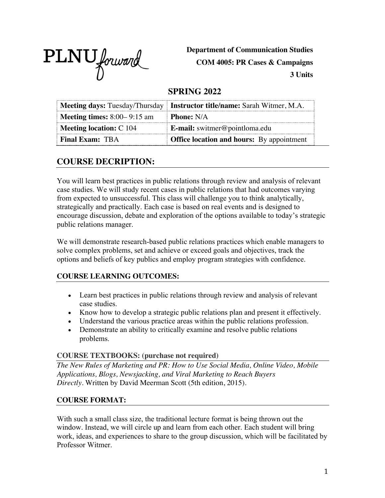

**Department of Communication Studies COM 4005: PR Cases & Campaigns 3 Units**

# **SPRING 2022**

|                                      | <b>Meeting days:</b> Tuesday/Thursday <b>Instructor title/name:</b> Sarah Witmer, M.A. |  |
|--------------------------------------|----------------------------------------------------------------------------------------|--|
| <b>Meeting times:</b> $8:00-9:15$ am | <b>Phone:</b> N/A                                                                      |  |
| Meeting location: $C$ 104            | E-mail: switmer@pointloma.edu                                                          |  |
| <b>Final Exam: TBA</b>               | <b>Office location and hours:</b> By appointment                                       |  |

# **COURSE DECRIPTION:**

You will learn best practices in public relations through review and analysis of relevant case studies. We will study recent cases in public relations that had outcomes varying from expected to unsuccessful. This class will challenge you to think analytically, strategically and practically. Each case is based on real events and is designed to encourage discussion, debate and exploration of the options available to today's strategic public relations manager.

We will demonstrate research-based public relations practices which enable managers to solve complex problems, set and achieve or exceed goals and objectives, track the options and beliefs of key publics and employ program strategies with confidence.

# **COURSE LEARNING OUTCOMES:**

- Learn best practices in public relations through review and analysis of relevant case studies.
- Know how to develop a strategic public relations plan and present it effectively.
- Understand the various practice areas within the public relations profession.
- Demonstrate an ability to critically examine and resolve public relations problems.

## **COURSE TEXTBOOKS: (purchase not required)**

*The New Rules of Marketing and PR: How to Use Social Media, Online Video, Mobile Applications, Blogs, Newsjacking, and Viral Marketing to Reach Buyers Directly.* Written by David Meerman Scott (5th edition, 2015).

## **COURSE FORMAT:**

With such a small class size, the traditional lecture format is being thrown out the window. Instead, we will circle up and learn from each other. Each student will bring work, ideas, and experiences to share to the group discussion, which will be facilitated by Professor Witmer.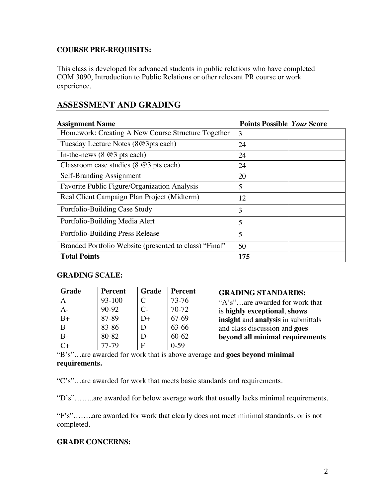## **COURSE PRE-REQUISITS:**

This class is developed for advanced students in public relations who have completed COM 3090, Introduction to Public Relations or other relevant PR course or work experience.

# **ASSESSMENT AND GRADING**

| <b>Assignment Name</b>                                 | <b>Points Possible Your Score</b> |  |
|--------------------------------------------------------|-----------------------------------|--|
| Homework: Creating A New Course Structure Together     | 3                                 |  |
| Tuesday Lecture Notes (8@3pts each)                    | 24                                |  |
| In-the-news $(8 \t@3 \tpt s each)$                     | 24                                |  |
| Classroom case studies $(8 \t@3$ pts each)             | 24                                |  |
| Self-Branding Assignment                               | 20                                |  |
| Favorite Public Figure/Organization Analysis           | 5                                 |  |
| Real Client Campaign Plan Project (Midterm)            | 12                                |  |
| Portfolio-Building Case Study                          | 3                                 |  |
| Portfolio-Building Media Alert                         | 5                                 |  |
| Portfolio-Building Press Release                       | 5                                 |  |
| Branded Portfolio Website (presented to class) "Final" | 50                                |  |
| <b>Total Points</b>                                    | 175                               |  |

#### **GRADING SCALE:**

| Grade        | <b>Percent</b> | <b>Grade</b> | <b>Percent</b> |
|--------------|----------------|--------------|----------------|
|              | 93-100         | C            | 73-76          |
| А-           | $90 - 92$      | $C-$         | 70-72          |
| $B+$         | 87-89          | D+           | 67-69          |
| <sub>B</sub> | 83-86          | D            | 63-66          |
| В-           | 80-82          | D-           | $60 - 62$      |
|              | 77-79          | F            | $0-59$         |

**GRADING STANDARDS:**

"A's"…are awarded for work that is **highly exceptional**, **shows insight** and **analysis** in submittals and class discussion and **goes beyond all minimal requirements** 

"B's"…are awarded for work that is above average and **goes beyond minimal requirements.**

"C's"…are awarded for work that meets basic standards and requirements.

"D's"……..are awarded for below average work that usually lacks minimal requirements.

"F's"……..are awarded for work that clearly does not meet minimal standards, or is not completed.

#### **GRADE CONCERNS:**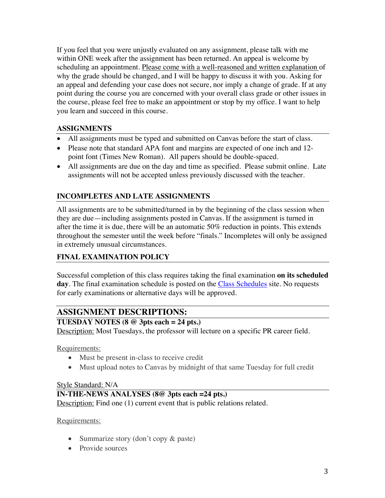If you feel that you were unjustly evaluated on any assignment, please talk with me within ONE week after the assignment has been returned. An appeal is welcome by scheduling an appointment. Please come with a well-reasoned and written explanation of why the grade should be changed, and I will be happy to discuss it with you. Asking for an appeal and defending your case does not secure, nor imply a change of grade. If at any point during the course you are concerned with your overall class grade or other issues in the course, please feel free to make an appointment or stop by my office. I want to help you learn and succeed in this course.

## **ASSIGNMENTS**

- All assignments must be typed and submitted on Canvas before the start of class.
- Please note that standard APA font and margins are expected of one inch and 12point font (Times New Roman). All papers should be double-spaced.
- All assignments are due on the day and time as specified. Please submit online. Late assignments will not be accepted unless previously discussed with the teacher.

# **INCOMPLETES AND LATE ASSIGNMENTS**

All assignments are to be submitted/turned in by the beginning of the class session when they are due—including assignments posted in Canvas. If the assignment is turned in after the time it is due, there will be an automatic 50% reduction in points. This extends throughout the semester until the week before "finals." Incompletes will only be assigned in extremely unusual circumstances.

## **FINAL EXAMINATION POLICY**

Successful completion of this class requires taking the final examination **on its scheduled**  day. The final examination schedule is posted on the Class Schedules site. No requests for early examinations or alternative days will be approved.

# **ASSIGNMENT DESCRIPTIONS:**

## **TUESDAY NOTES (8 @ 3pts each = 24 pts.)**

Description: Most Tuesdays, the professor will lecture on a specific PR career field.

Requirements:

- Must be present in-class to receive credit
- Must upload notes to Canvas by midnight of that same Tuesday for full credit

#### Style Standard: N/A

## **IN-THE-NEWS ANALYSES (8@ 3pts each =24 pts.)**

Description: Find one (1) current event that is public relations related.

#### Requirements:

- Summarize story (don't copy & paste)
- Provide sources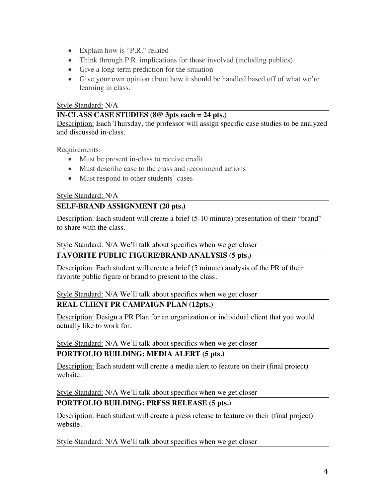- Explain how is "P.R." related
- Think through P.R. implications for those involved (including publics)
- Give a long-term prediction for the situation
- Give your own opinion about how it should be handled based off of what we're learning in class.

### Style Standard: N/A

### **IN-CLASS CASE STUDIES (8@ 3pts each = 24 pts.)**

Description: Each Thursday, the professor will assign specific case studies to be analyzed and discussed in-class.

Requirements:

- Must be present in-class to receive credit
- Must describe case to the class and recommend actions
- Must respond to other students' cases

#### Style Standard: N/A

# **SELF-BRAND ASSIGNMENT (20 pts.)**

Description: Each student will create a brief (5-10 minute) presentation of their "brand" to share with the class.

Style Standard: N/A We'll talk about specifics when we get closer

## **FAVORITE PUBLIC FIGURE/BRAND ANALYSIS (5 pts.)**

Description: Each student will create a brief (5 minute) analysis of the PR of their favorite public figure or brand to present to the class.

#### Style Standard: N/A We'll talk about specifics when we get closer

## **REAL CLIENT PR CAMPAIGN PLAN (12pts.)**

Description: Design a PR Plan for an organization or individual client that you would actually like to work for.

Style Standard: N/A We'll talk about specifics when we get closer

## **PORTFOLIO BUILDING: MEDIA ALERT (5 pts.)**

Description: Each student will create a media alert to feature on their (final project) website.

Style Standard: N/A We'll talk about specifics when we get closer

## **PORTFOLIO BUILDING: PRESS RELEASE (5 pts.)**

Description: Each student will create a press release to feature on their (final project) website.

Style Standard: N/A We'll talk about specifics when we get closer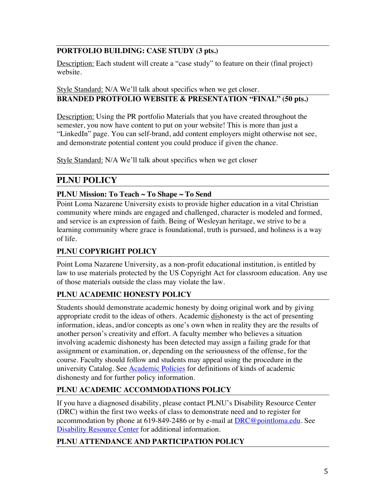# **PORTFOLIO BUILDING: CASE STUDY (3 pts.)**

Description: Each student will create a "case study" to feature on their (final project) website.

## Style Standard: N/A We'll talk about specifics when we get closer. **BRANDED PROTFOLIO WEBSITE & PRESENTATION "FINAL" (50 pts.)**

Description: Using the PR portfolio Materials that you have created throughout the semester, you now have content to put on your website! This is more than just a "LinkedIn" page. You can self-brand, add content employers might otherwise not see, and demonstrate potential content you could produce if given the chance.

Style Standard: N/A We'll talk about specifics when we get closer

# **PLNU POLICY**

# **PLNU Mission: To Teach ~ To Shape ~ To Send**

Point Loma Nazarene University exists to provide higher education in a vital Christian community where minds are engaged and challenged, character is modeled and formed, and service is an expression of faith. Being of Wesleyan heritage, we strive to be a learning community where grace is foundational, truth is pursued, and holiness is a way of life.

# **PLNU COPYRIGHT POLICY**

Point Loma Nazarene University, as a non-profit educational institution, is entitled by law to use materials protected by the US Copyright Act for classroom education. Any use of those materials outside the class may violate the law.

# **PLNU ACADEMIC HONESTY POLICY**

Students should demonstrate academic honesty by doing original work and by giving appropriate credit to the ideas of others. Academic dishonesty is the act of presenting information, ideas, and/or concepts as one's own when in reality they are the results of another person's creativity and effort. A faculty member who believes a situation involving academic dishonesty has been detected may assign a failing grade for that assignment or examination, or, depending on the seriousness of the offense, for the course. Faculty should follow and students may appeal using the procedure in the university Catalog. See **Academic Policies** for definitions of kinds of academic dishonesty and for further policy information.

# **PLNU ACADEMIC ACCOMMODATIONS POLICY**

If you have a diagnosed disability, please contact PLNU's Disability Resource Center (DRC) within the first two weeks of class to demonstrate need and to register for accommodation by phone at 619-849-2486 or by e-mail at  $DRC@pointloma.edu$ . See Disability Resource Center for additional information.

# **PLNU ATTENDANCE AND PARTICIPATION POLICY**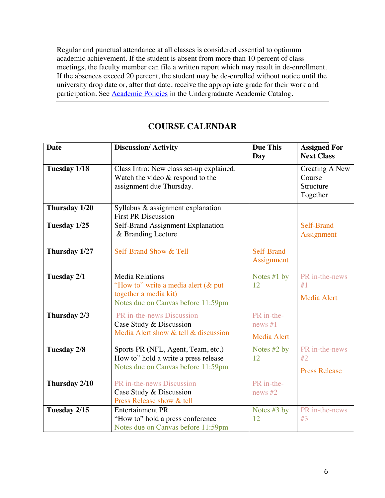Regular and punctual attendance at all classes is considered essential to optimum academic achievement. If the student is absent from more than 10 percent of class meetings, the faculty member can file a written report which may result in de-enrollment. If the absences exceed 20 percent, the student may be de-enrolled without notice until the university drop date or, after that date, receive the appropriate grade for their work and participation. See **Academic Policies** in the Undergraduate Academic Catalog.

| <b>Date</b>   | <b>Discussion/Activity</b>                                                 | <b>Due This</b>    | <b>Assigned For</b>  |
|---------------|----------------------------------------------------------------------------|--------------------|----------------------|
|               |                                                                            | Day                | <b>Next Class</b>    |
| Tuesday 1/18  | Class Intro: New class set-up explained.                                   |                    | Creating A New       |
|               | Watch the video $&$ respond to the                                         |                    | Course               |
|               | assignment due Thursday.                                                   |                    | Structure            |
|               |                                                                            |                    | Together             |
| Thursday 1/20 | Syllabus & assignment explanation                                          |                    |                      |
|               | <b>First PR Discussion</b>                                                 |                    |                      |
| Tuesday 1/25  | Self-Brand Assignment Explanation                                          |                    | Self-Brand           |
|               | & Branding Lecture                                                         |                    | Assignment           |
| Thursday 1/27 | Self-Brand Show & Tell                                                     | Self-Brand         |                      |
|               |                                                                            | Assignment         |                      |
|               |                                                                            |                    |                      |
| Tuesday 2/1   | <b>Media Relations</b>                                                     | Notes $#1$ by      | PR in-the-news       |
|               | "How to" write a media alert (& put                                        | 12                 | #1                   |
|               | together a media kit)                                                      |                    | <b>Media Alert</b>   |
|               | Notes due on Canvas before 11:59pm                                         |                    |                      |
| Thursday 2/3  | PR in-the-news Discussion                                                  | PR in-the-         |                      |
|               | Case Study & Discussion                                                    | news $#1$          |                      |
|               | Media Alert show & tell & discussion                                       | <b>Media Alert</b> |                      |
|               |                                                                            |                    | PR in-the-news       |
| Tuesday 2/8   | Sports PR (NFL, Agent, Team, etc.)<br>How to" hold a write a press release | Notes #2 by<br>12  | #2                   |
|               | Notes due on Canvas before 11:59pm                                         |                    |                      |
|               |                                                                            |                    | <b>Press Release</b> |
| Thursday 2/10 | PR in-the-news Discussion                                                  | PR in-the-         |                      |
|               | Case Study & Discussion                                                    | news $#2$          |                      |
|               | Press Release show & tell                                                  |                    |                      |
| Tuesday 2/15  | <b>Entertainment PR</b>                                                    | Notes #3 by        | PR in-the-news       |
|               | "How to" hold a press conference                                           | 12                 | #3                   |
|               | Notes due on Canvas before 11:59pm                                         |                    |                      |

# **COURSE CALENDAR**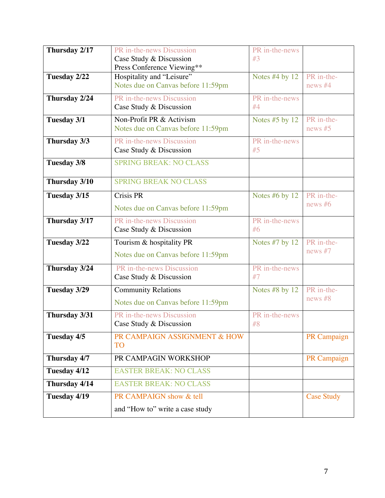| Thursday 2/17 | PR in-the-news Discussion<br>Case Study & Discussion            | PR in-the-news<br>#3 |                         |
|---------------|-----------------------------------------------------------------|----------------------|-------------------------|
|               | Press Conference Viewing**                                      |                      |                         |
| Tuesday 2/22  | Hospitality and "Leisure"<br>Notes due on Canvas before 11:59pm | Notes $#4$ by 12     | PR in-the-<br>news $#4$ |
| Thursday 2/24 | PR in-the-news Discussion<br>Case Study & Discussion            | PR in-the-news<br>#4 |                         |
| Tuesday 3/1   | Non-Profit PR & Activism<br>Notes due on Canvas before 11:59pm  | Notes $#5$ by 12     | PR in-the-<br>news $#5$ |
| Thursday 3/3  | PR in-the-news Discussion<br>Case Study & Discussion            | PR in-the-news<br>#5 |                         |
| Tuesday 3/8   | <b>SPRING BREAK: NO CLASS</b>                                   |                      |                         |
| Thursday 3/10 | <b>SPRING BREAK NO CLASS</b>                                    |                      |                         |
| Tuesday 3/15  | <b>Crisis PR</b>                                                | Notes $#6$ by 12     | PR in-the-              |
|               | Notes due on Canvas before 11:59pm                              |                      | news $#6$               |
| Thursday 3/17 | PR in-the-news Discussion<br>Case Study & Discussion            | PR in-the-news<br>#6 |                         |
| Tuesday 3/22  | Tourism & hospitality PR                                        | Notes $#7$ by 12     | PR in-the-              |
|               | Notes due on Canvas before 11:59pm                              |                      | news $#7$               |
| Thursday 3/24 | PR in-the-news Discussion<br>Case Study & Discussion            | PR in-the-news<br>#7 |                         |
| Tuesday 3/29  | <b>Community Relations</b>                                      | Notes $#8$ by 12     | PR in-the-              |
|               | Notes due on Canvas before 11:59pm                              |                      | news $#8$               |
| Thursday 3/31 | PR in-the-news Discussion<br>Case Study & Discussion            | PR in-the-news<br>#8 |                         |
| Tuesday 4/5   | PR CAMPAIGN ASSIGNMENT & HOW<br><b>TO</b>                       |                      | PR Campaign             |
| Thursday 4/7  | PR CAMPAGIN WORKSHOP                                            |                      | PR Campaign             |
| Tuesday 4/12  | <b>EASTER BREAK: NO CLASS</b>                                   |                      |                         |
| Thursday 4/14 | <b>EASTER BREAK: NO CLASS</b>                                   |                      |                         |
| Tuesday 4/19  | PR CAMPAIGN show & tell                                         |                      | <b>Case Study</b>       |
|               | and "How to" write a case study                                 |                      |                         |